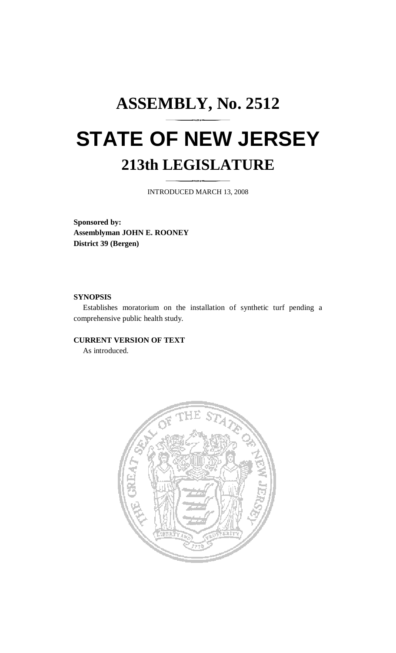# **ASSEMBLY, No. 2512 STATE OF NEW JERSEY 213th LEGISLATURE**

INTRODUCED MARCH 13, 2008

**Sponsored by: Assemblyman JOHN E. ROONEY District 39 (Bergen)** 

### **SYNOPSIS**

 Establishes moratorium on the installation of synthetic turf pending a comprehensive public health study.

### **CURRENT VERSION OF TEXT**

As introduced.

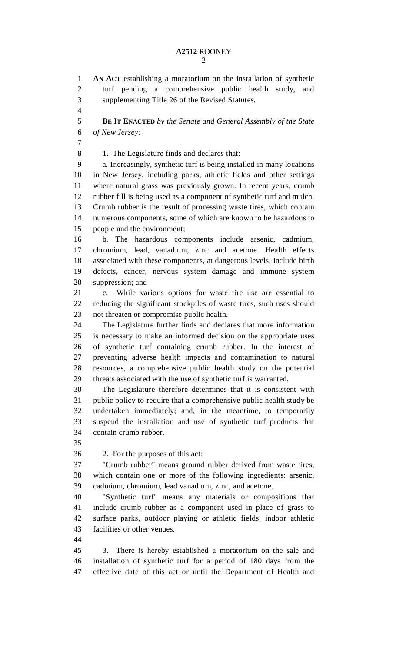## **A2512** ROONEY

2

1 **AN ACT** establishing a moratorium on the installation of synthetic 2 turf pending a comprehensive public health study, and 3 supplementing Title 26 of the Revised Statutes. 4 5 **BE IT ENACTED** *by the Senate and General Assembly of the State*  6 *of New Jersey:* 7 8 1. The Legislature finds and declares that: 9 a. Increasingly, synthetic turf is being installed in many locations 10 in New Jersey, including parks, athletic fields and other settings 11 where natural grass was previously grown. In recent years, crumb 12 rubber fill is being used as a component of synthetic turf and mulch. 13 Crumb rubber is the result of processing waste tires, which contain 14 numerous components, some of which are known to be hazardous to 15 people and the environment; 16 b. The hazardous components include arsenic, cadmium, 17 chromium, lead, vanadium, zinc and acetone. Health effects 18 associated with these components, at dangerous levels, include birth 19 defects, cancer, nervous system damage and immune system 20 suppression; and 21 c. While various options for waste tire use are essential to 22 reducing the significant stockpiles of waste tires, such uses should 23 not threaten or compromise public health. 24 The Legislature further finds and declares that more information 25 is necessary to make an informed decision on the appropriate uses 26 of synthetic turf containing crumb rubber. In the interest of 27 preventing adverse health impacts and contamination to natural 28 resources, a comprehensive public health study on the potential 29 threats associated with the use of synthetic turf is warranted. 30 The Legislature therefore determines that it is consistent with 31 public policy to require that a comprehensive public health study be 32 undertaken immediately; and, in the meantime, to temporarily 33 suspend the installation and use of synthetic turf products that 34 contain crumb rubber. 35 36 2. For the purposes of this act: 37 "Crumb rubber" means ground rubber derived from waste tires, 38 which contain one or more of the following ingredients: arsenic, 39 cadmium, chromium, lead vanadium, zinc, and acetone. 40 "Synthetic turf" means any materials or compositions that 41 include crumb rubber as a component used in place of grass to 42 surface parks, outdoor playing or athletic fields, indoor athletic 43 facilities or other venues. 44 45 3. There is hereby established a moratorium on the sale and 46 installation of synthetic turf for a period of 180 days from the 47 effective date of this act or until the Department of Health and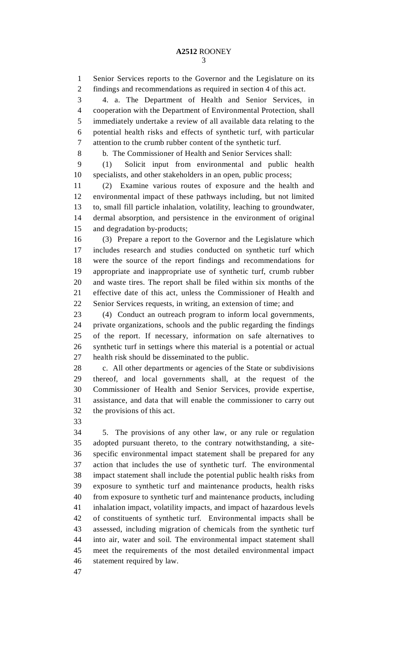1 Senior Services reports to the Governor and the Legislature on its 2 findings and recommendations as required in section 4 of this act.

3 4. a. The Department of Health and Senior Services, in 4 cooperation with the Department of Environmental Protection, shall 5 immediately undertake a review of all available data relating to the 6 potential health risks and effects of synthetic turf, with particular 7 attention to the crumb rubber content of the synthetic turf.

8 b. The Commissioner of Health and Senior Services shall:

9 (1) Solicit input from environmental and public health 10 specialists, and other stakeholders in an open, public process;

11 (2) Examine various routes of exposure and the health and 12 environmental impact of these pathways including, but not limited 13 to, small fill particle inhalation, volatility, leaching to groundwater, 14 dermal absorption, and persistence in the environment of original 15 and degradation by-products;

16 (3) Prepare a report to the Governor and the Legislature which 17 includes research and studies conducted on synthetic turf which 18 were the source of the report findings and recommendations for 19 appropriate and inappropriate use of synthetic turf, crumb rubber 20 and waste tires. The report shall be filed within six months of the 21 effective date of this act, unless the Commissioner of Health and 22 Senior Services requests, in writing, an extension of time; and

23 (4) Conduct an outreach program to inform local governments, 24 private organizations, schools and the public regarding the findings 25 of the report. If necessary, information on safe alternatives to 26 synthetic turf in settings where this material is a potential or actual 27 health risk should be disseminated to the public.

28 c. All other departments or agencies of the State or subdivisions 29 thereof, and local governments shall, at the request of the 30 Commissioner of Health and Senior Services, provide expertise, 31 assistance, and data that will enable the commissioner to carry out 32 the provisions of this act.

33

34 5. The provisions of any other law, or any rule or regulation 35 adopted pursuant thereto, to the contrary notwithstanding, a site-36 specific environmental impact statement shall be prepared for any 37 action that includes the use of synthetic turf. The environmental 38 impact statement shall include the potential public health risks from 39 exposure to synthetic turf and maintenance products, health risks 40 from exposure to synthetic turf and maintenance products, including 41 inhalation impact, volatility impacts, and impact of hazardous levels 42 of constituents of synthetic turf. Environmental impacts shall be 43 assessed, including migration of chemicals from the synthetic turf 44 into air, water and soil. The environmental impact statement shall 45 meet the requirements of the most detailed environmental impact 46 statement required by law.

47